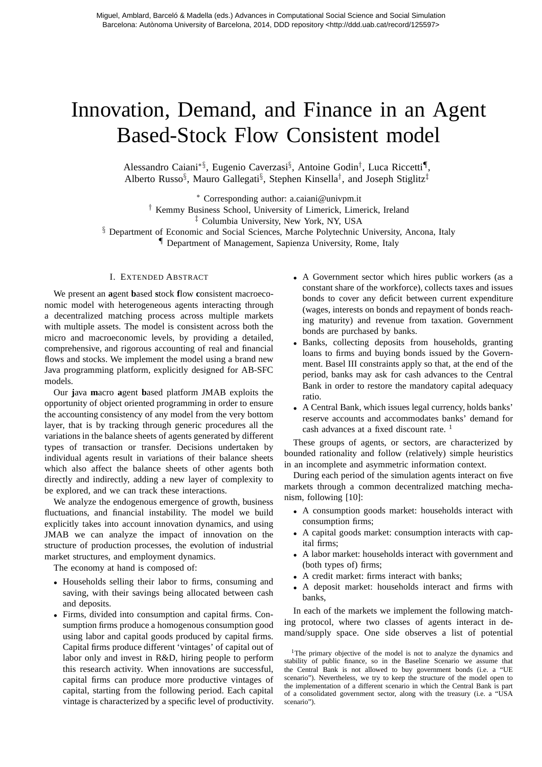## Innovation, Demand, and Finance in an Agent Based-Stock Flow Consistent model

Alessandro Caiani<sup>∗§</sup>, Eugenio Caverzasi<sup>§</sup>, Antoine Godin<sup>†</sup>, Luca Riccetti¶, Alberto Russo<sup>§</sup>, Mauro Gallegati<sup>§</sup>, Stephen Kinsella<sup>†</sup>, and Joseph Stiglitz<sup>‡</sup>

<sup>∗</sup> Corresponding author: a.caiani@univpm.it

† Kemmy Business School, University of Limerick, Limerick, Ireland

‡ Columbia University, New York, NY, USA

§ Department of Economic and Social Sciences, Marche Polytechnic University, Ancona, Italy

¶ Department of Management, Sapienza University, Rome, Italy

## I. EXTENDED ABSTRACT

We present an **a**gent **b**ased **s**tock **f**low **c**onsistent macroeconomic model with heterogeneous agents interacting through a decentralized matching process across multiple markets with multiple assets. The model is consistent across both the micro and macroeconomic levels, by providing a detailed, comprehensive, and rigorous accounting of real and financial flows and stocks. We implement the model using a brand new Java programming platform, explicitly designed for AB-SFC models.

Our **j**ava **m**acro **a**gent **b**ased platform JMAB exploits the opportunity of object oriented programming in order to ensure the accounting consistency of any model from the very bottom layer, that is by tracking through generic procedures all the variations in the balance sheets of agents generated by different types of transaction or transfer. Decisions undertaken by individual agents result in variations of their balance sheets which also affect the balance sheets of other agents both directly and indirectly, adding a new layer of complexity to be explored, and we can track these interactions.

We analyze the endogenous emergence of growth, business fluctuations, and financial instability. The model we build explicitly takes into account innovation dynamics, and using JMAB we can analyze the impact of innovation on the structure of production processes, the evolution of industrial market structures, and employment dynamics.

The economy at hand is composed of:

- Households selling their labor to firms, consuming and saving, with their savings being allocated between cash and deposits.
- Firms, divided into consumption and capital firms. Consumption firms produce a homogenous consumption good using labor and capital goods produced by capital firms. Capital firms produce different 'vintages' of capital out of labor only and invest in R&D, hiring people to perform this research activity. When innovations are successful, capital firms can produce more productive vintages of capital, starting from the following period. Each capital vintage is characterized by a specific level of productivity.
- A Government sector which hires public workers (as a constant share of the workforce), collects taxes and issues bonds to cover any deficit between current expenditure (wages, interests on bonds and repayment of bonds reaching maturity) and revenue from taxation. Government bonds are purchased by banks.
- Banks, collecting deposits from households, granting loans to firms and buying bonds issued by the Government. Basel III constraints apply so that, at the end of the period, banks may ask for cash advances to the Central Bank in order to restore the mandatory capital adequacy ratio.
- A Central Bank, which issues legal currency, holds banks' reserve accounts and accommodates banks' demand for cash advances at a fixed discount rate.<sup>1</sup>

These groups of agents, or sectors, are characterized by bounded rationality and follow (relatively) simple heuristics in an incomplete and asymmetric information context.

During each period of the simulation agents interact on five markets through a common decentralized matching mechanism, following [10]:

- A consumption goods market: households interact with consumption firms;
- A capital goods market: consumption interacts with capital firms;
- A labor market: households interact with government and (both types of) firms;
- A credit market: firms interact with banks;
- A deposit market: households interact and firms with banks,

In each of the markets we implement the following matching protocol, where two classes of agents interact in demand/supply space. One side observes a list of potential

<sup>1</sup>The primary objective of the model is not to analyze the dynamics and stability of public finance, so in the Baseline Scenario we assume that the Central Bank is not allowed to buy government bonds (i.e. a "UE scenario"). Nevertheless, we try to keep the structure of the model open to the implementation of a different scenario in which the Central Bank is part of a consolidated government sector, along with the treasury (i.e. a "USA scenario").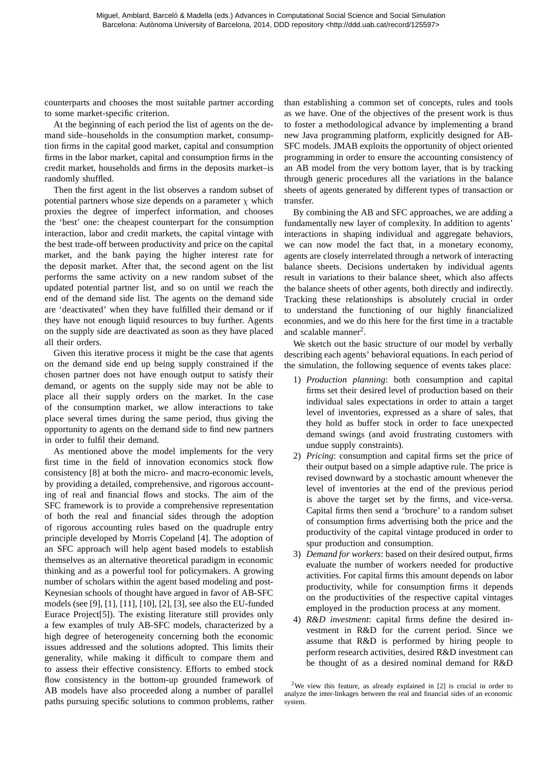counterparts and chooses the most suitable partner according to some market-specific criterion.

At the beginning of each period the list of agents on the demand side–households in the consumption market, consumption firms in the capital good market, capital and consumption firms in the labor market, capital and consumption firms in the credit market, households and firms in the deposits market–is randomly shuffled.

Then the first agent in the list observes a random subset of potential partners whose size depends on a parameter  $\chi$  which proxies the degree of imperfect information, and chooses the 'best' one: the cheapest counterpart for the consumption interaction, labor and credit markets, the capital vintage with the best trade-off between productivity and price on the capital market, and the bank paying the higher interest rate for the deposit market. After that, the second agent on the list performs the same activity on a new random subset of the updated potential partner list, and so on until we reach the end of the demand side list. The agents on the demand side are 'deactivated' when they have fulfilled their demand or if they have not enough liquid resources to buy further. Agents on the supply side are deactivated as soon as they have placed all their orders.

Given this iterative process it might be the case that agents on the demand side end up being supply constrained if the chosen partner does not have enough output to satisfy their demand, or agents on the supply side may not be able to place all their supply orders on the market. In the case of the consumption market, we allow interactions to take place several times during the same period, thus giving the opportunity to agents on the demand side to find new partners in order to fulfil their demand.

As mentioned above the model implements for the very first time in the field of innovation economics stock flow consistency [8] at both the micro- and macro-economic levels, by providing a detailed, comprehensive, and rigorous accounting of real and financial flows and stocks. The aim of the SFC framework is to provide a comprehensive representation of both the real and financial sides through the adoption of rigorous accounting rules based on the quadruple entry principle developed by Morris Copeland [4]. The adoption of an SFC approach will help agent based models to establish themselves as an alternative theoretical paradigm in economic thinking and as a powerful tool for policymakers. A growing number of scholars within the agent based modeling and post-Keynesian schools of thought have argued in favor of AB-SFC models (see [9], [1], [11], [10], [2], [3], see also the EU-funded Eurace Project[5]). The existing literature still provides only a few examples of truly AB-SFC models, characterized by a high degree of heterogeneity concerning both the economic issues addressed and the solutions adopted. This limits their generality, while making it difficult to compare them and to assess their effective consistency. Efforts to embed stock flow consistency in the bottom-up grounded framework of AB models have also proceeded along a number of parallel paths pursuing specific solutions to common problems, rather than establishing a common set of concepts, rules and tools as we have. One of the objectives of the present work is thus to foster a methodological advance by implementing a brand new Java programming platform, explicitly designed for AB-SFC models. JMAB exploits the opportunity of object oriented programming in order to ensure the accounting consistency of an AB model from the very bottom layer, that is by tracking through generic procedures all the variations in the balance sheets of agents generated by different types of transaction or transfer.

By combining the AB and SFC approaches, we are adding a fundamentally new layer of complexity. In addition to agents' interactions in shaping individual and aggregate behaviors, we can now model the fact that, in a monetary economy, agents are closely interrelated through a network of interacting balance sheets. Decisions undertaken by individual agents result in variations to their balance sheet, which also affects the balance sheets of other agents, both directly and indirectly. Tracking these relationships is absolutely crucial in order to understand the functioning of our highly financialized economies, and we do this here for the first time in a tractable and scalable manner<sup>2</sup>.

We sketch out the basic structure of our model by verbally describing each agents' behavioral equations. In each period of the simulation, the following sequence of events takes place:

- 1) *Production planning*: both consumption and capital firms set their desired level of production based on their individual sales expectations in order to attain a target level of inventories, expressed as a share of sales, that they hold as buffer stock in order to face unexpected demand swings (and avoid frustrating customers with undue supply constraints).
- 2) *Pricing*: consumption and capital firms set the price of their output based on a simple adaptive rule. The price is revised downward by a stochastic amount whenever the level of inventories at the end of the previous period is above the target set by the firms, and vice-versa. Capital firms then send a 'brochure' to a random subset of consumption firms advertising both the price and the productivity of the capital vintage produced in order to spur production and consumption.
- 3) *Demand for workers*: based on their desired output, firms evaluate the number of workers needed for productive activities. For capital firms this amount depends on labor productivity, while for consumption firms it depends on the productivities of the respective capital vintages employed in the production process at any moment.
- 4) *R&D investment*: capital firms define the desired investment in R&D for the current period. Since we assume that R&D is performed by hiring people to perform research activities, desired R&D investment can be thought of as a desired nominal demand for R&D

<sup>&</sup>lt;sup>2</sup>We view this feature, as already explained in  $[2]$  is crucial in order to analyze the inter-linkages between the real and financial sides of an economic system.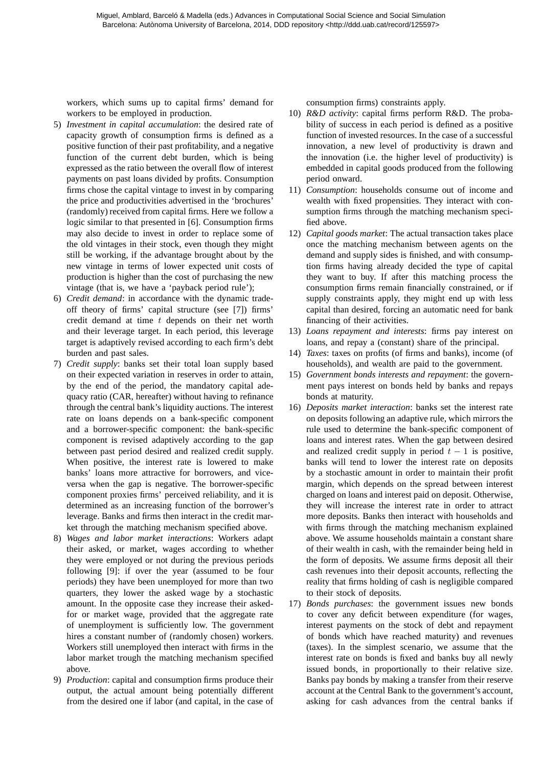workers, which sums up to capital firms' demand for workers to be employed in production.

- 5) *Investment in capital accumulation*: the desired rate of capacity growth of consumption firms is defined as a positive function of their past profitability, and a negative function of the current debt burden, which is being expressed as the ratio between the overall flow of interest payments on past loans divided by profits. Consumption firms chose the capital vintage to invest in by comparing the price and productivities advertised in the 'brochures' (randomly) received from capital firms. Here we follow a logic similar to that presented in [6]. Consumption firms may also decide to invest in order to replace some of the old vintages in their stock, even though they might still be working, if the advantage brought about by the new vintage in terms of lower expected unit costs of production is higher than the cost of purchasing the new vintage (that is, we have a 'payback period rule');
- 6) *Credit demand*: in accordance with the dynamic tradeoff theory of firms' capital structure (see [7]) firms' credit demand at time  $t$  depends on their net worth and their leverage target. In each period, this leverage target is adaptively revised according to each firm's debt burden and past sales.
- 7) *Credit supply*: banks set their total loan supply based on their expected variation in reserves in order to attain, by the end of the period, the mandatory capital adequacy ratio (CAR, hereafter) without having to refinance through the central bank's liquidity auctions. The interest rate on loans depends on a bank-specific component and a borrower-specific component: the bank-specific component is revised adaptively according to the gap between past period desired and realized credit supply. When positive, the interest rate is lowered to make banks' loans more attractive for borrowers, and viceversa when the gap is negative. The borrower-specific component proxies firms' perceived reliability, and it is determined as an increasing function of the borrower's leverage. Banks and firms then interact in the credit market through the matching mechanism specified above.
- 8) *Wages and labor market interactions*: Workers adapt their asked, or market, wages according to whether they were employed or not during the previous periods following [9]: if over the year (assumed to be four periods) they have been unemployed for more than two quarters, they lower the asked wage by a stochastic amount. In the opposite case they increase their askedfor or market wage, provided that the aggregate rate of unemployment is sufficiently low. The government hires a constant number of (randomly chosen) workers. Workers still unemployed then interact with firms in the labor market trough the matching mechanism specified above.
- 9) *Production*: capital and consumption firms produce their output, the actual amount being potentially different from the desired one if labor (and capital, in the case of

consumption firms) constraints apply.

- 10) *R&D activity*: capital firms perform R&D. The probability of success in each period is defined as a positive function of invested resources. In the case of a successful innovation, a new level of productivity is drawn and the innovation (i.e. the higher level of productivity) is embedded in capital goods produced from the following period onward.
- 11) *Consumption*: households consume out of income and wealth with fixed propensities. They interact with consumption firms through the matching mechanism specified above.
- 12) *Capital goods market*: The actual transaction takes place once the matching mechanism between agents on the demand and supply sides is finished, and with consumption firms having already decided the type of capital they want to buy. If after this matching process the consumption firms remain financially constrained, or if supply constraints apply, they might end up with less capital than desired, forcing an automatic need for bank financing of their activities.
- 13) *Loans repayment and interests*: firms pay interest on loans, and repay a (constant) share of the principal.
- 14) *Taxes*: taxes on profits (of firms and banks), income (of households), and wealth are paid to the government.
- 15) *Government bonds interests and repayment*: the government pays interest on bonds held by banks and repays bonds at maturity.
- 16) *Deposits market interaction*: banks set the interest rate on deposits following an adaptive rule, which mirrors the rule used to determine the bank-specific component of loans and interest rates. When the gap between desired and realized credit supply in period  $t - 1$  is positive, banks will tend to lower the interest rate on deposits by a stochastic amount in order to maintain their profit margin, which depends on the spread between interest charged on loans and interest paid on deposit. Otherwise, they will increase the interest rate in order to attract more deposits. Banks then interact with households and with firms through the matching mechanism explained above. We assume households maintain a constant share of their wealth in cash, with the remainder being held in the form of deposits. We assume firms deposit all their cash revenues into their deposit accounts, reflecting the reality that firms holding of cash is negligible compared to their stock of deposits.
- 17) *Bonds purchases*: the government issues new bonds to cover any deficit between expenditure (for wages, interest payments on the stock of debt and repayment of bonds which have reached maturity) and revenues (taxes). In the simplest scenario, we assume that the interest rate on bonds is fixed and banks buy all newly issued bonds, in proportionally to their relative size. Banks pay bonds by making a transfer from their reserve account at the Central Bank to the government's account, asking for cash advances from the central banks if